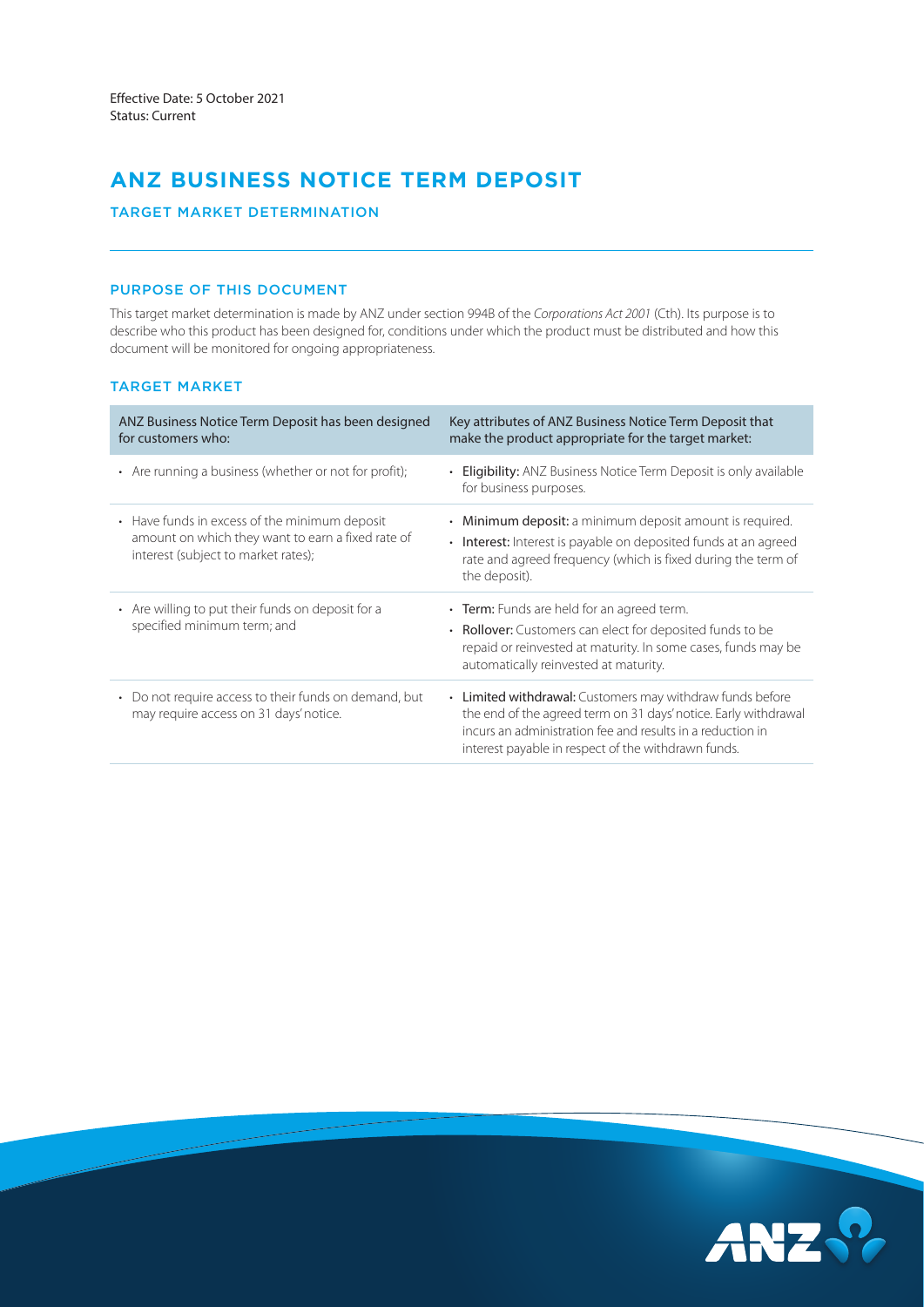# **ANZ BUSINESS NOTICE TERM DEPOSIT**

TARGET MARKET DETERMINATION

## PURPOSE OF THIS DOCUMENT

This target market determination is made by ANZ under section 994B of the *Corporations Act 2001* (Cth). Its purpose is to describe who this product has been designed for, conditions under which the product must be distributed and how this document will be monitored for ongoing appropriateness.

## TARGET MARKET

| ANZ Business Notice Term Deposit has been designed<br>for customers who:                                                                  | Key attributes of ANZ Business Notice Term Deposit that<br>make the product appropriate for the target market:                                                                                                                                    |
|-------------------------------------------------------------------------------------------------------------------------------------------|---------------------------------------------------------------------------------------------------------------------------------------------------------------------------------------------------------------------------------------------------|
| • Are running a business (whether or not for profit);                                                                                     | <b>Eligibility:</b> ANZ Business Notice Term Deposit is only available<br>for business purposes.                                                                                                                                                  |
| • Have funds in excess of the minimum deposit<br>amount on which they want to earn a fixed rate of<br>interest (subject to market rates); | Minimum deposit: a minimum deposit amount is required.<br>٠<br>• Interest: Interest is payable on deposited funds at an agreed<br>rate and agreed frequency (which is fixed during the term of<br>the deposit).                                   |
| • Are willing to put their funds on deposit for a<br>specified minimum term; and                                                          | • Term: Funds are held for an agreed term.<br>• Rollover: Customers can elect for deposited funds to be<br>repaid or reinvested at maturity. In some cases, funds may be<br>automatically reinvested at maturity.                                 |
| Do not require access to their funds on demand, but<br>$\bullet$<br>may require access on 31 days' notice.                                | • Limited withdrawal: Customers may withdraw funds before<br>the end of the agreed term on 31 days' notice. Early withdrawal<br>incurs an administration fee and results in a reduction in<br>interest payable in respect of the withdrawn funds. |

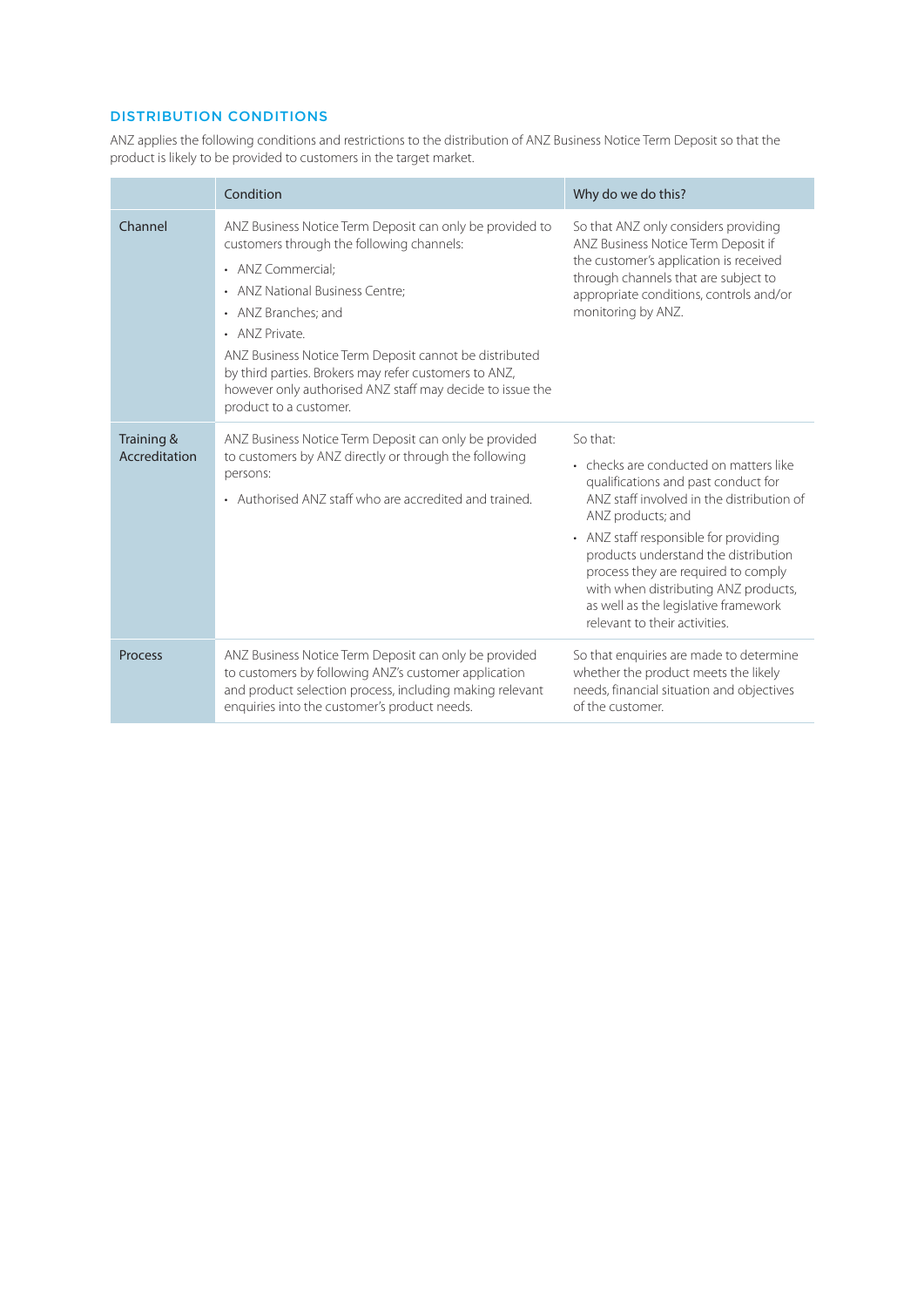## DISTRIBUTION CONDITIONS

ANZ applies the following conditions and restrictions to the distribution of ANZ Business Notice Term Deposit so that the product is likely to be provided to customers in the target market.

|                             | Condition                                                                                                                                                                                                                                                                                                                                                                                                        | Why do we do this?                                                                                                                                                                                                                                                                                                                                                                                   |  |
|-----------------------------|------------------------------------------------------------------------------------------------------------------------------------------------------------------------------------------------------------------------------------------------------------------------------------------------------------------------------------------------------------------------------------------------------------------|------------------------------------------------------------------------------------------------------------------------------------------------------------------------------------------------------------------------------------------------------------------------------------------------------------------------------------------------------------------------------------------------------|--|
| Channel                     | ANZ Business Notice Term Deposit can only be provided to<br>customers through the following channels:<br>• ANZ Commercial:<br>• ANZ National Business Centre;<br>• ANZ Branches: and<br>• ANZ Private.<br>ANZ Business Notice Term Deposit cannot be distributed<br>by third parties. Brokers may refer customers to ANZ,<br>however only authorised ANZ staff may decide to issue the<br>product to a customer. | So that ANZ only considers providing<br>ANZ Business Notice Term Deposit if<br>the customer's application is received<br>through channels that are subject to<br>appropriate conditions, controls and/or<br>monitoring by ANZ.                                                                                                                                                                       |  |
| Training &<br>Accreditation | ANZ Business Notice Term Deposit can only be provided<br>to customers by ANZ directly or through the following<br>persons:<br>• Authorised ANZ staff who are accredited and trained.                                                                                                                                                                                                                             | So that:<br>• checks are conducted on matters like<br>qualifications and past conduct for<br>ANZ staff involved in the distribution of<br>ANZ products; and<br>• ANZ staff responsible for providing<br>products understand the distribution<br>process they are required to comply<br>with when distributing ANZ products,<br>as well as the legislative framework<br>relevant to their activities. |  |
| Process                     | ANZ Business Notice Term Deposit can only be provided<br>to customers by following ANZ's customer application<br>and product selection process, including making relevant<br>enquiries into the customer's product needs.                                                                                                                                                                                        | So that enquiries are made to determine<br>whether the product meets the likely<br>needs, financial situation and objectives<br>of the customer.                                                                                                                                                                                                                                                     |  |